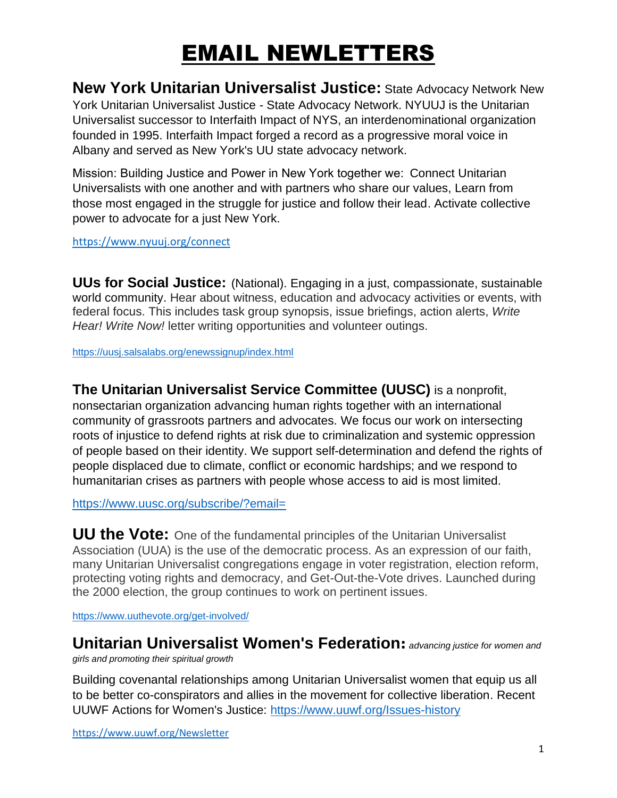## EMAIL NEWLETTERS

**New York Unitarian Universalist Justice:** State Advocacy Network New York Unitarian Universalist Justice - State Advocacy Network. NYUUJ is the Unitarian Universalist successor to Interfaith Impact of NYS, an interdenominational organization founded in 1995. Interfaith Impact forged a record as a progressive moral voice in Albany and served as New York's UU state advocacy network.

Mission: Building Justice and Power in New York together we:  Connect Unitarian Universalists with one another and with partners who share our values, Learn from those most engaged in the struggle for justice and follow their lead. Activate collective power to advocate for a just New York.

<https://www.nyuuj.org/connect>

**UUs for Social Justice:** (National). Engaging in a just, compassionate, sustainable world community. Hear about witness, education and advocacy activities or events, with federal focus. This includes task group synopsis, issue briefings, action alerts, *Write Hear! Write Now!* letter writing opportunities and volunteer outings.

<https://uusj.salsalabs.org/enewssignup/index.html>

**The Unitarian Universalist Service Committee (UUSC)** is a nonprofit, nonsectarian organization advancing human rights together with an international community of grassroots partners and advocates. We focus our work on intersecting roots of injustice to defend rights at risk due to criminalization and systemic oppression of people based on their identity. We support self-determination and defend the rights of people displaced due to climate, conflict or economic hardships; and we respond to humanitarian crises as partners with people whose access to aid is most limited.

<https://www.uusc.org/subscribe/?email=>

**UU the Vote:** One of the fundamental principles of the Unitarian Universalist Association (UUA) is the use of the democratic process. As an expression of our faith, many Unitarian Universalist congregations engage in voter registration, election reform, protecting voting rights and democracy, and Get-Out-the-Vote drives. Launched during the 2000 election, the group continues to work on pertinent issues.

<https://www.uuthevote.org/get-involved/>

**Unitarian Universalist Women's Federation:** *advancing justice for women and* 

*girls and promoting their spiritual growth*

Building covenantal relationships among Unitarian Universalist women that equip us all to be better co-conspirators and allies in the movement for collective liberation. Recent UUWF Actions for Women's Justice:<https://www.uuwf.org/Issues-history>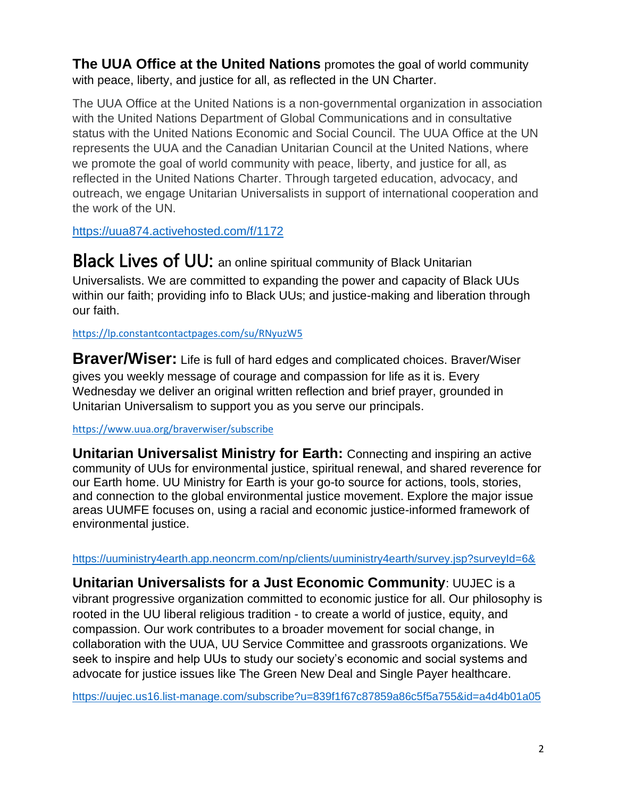**The UUA Office at the United Nations** promotes the goal of world community with peace, liberty, and justice for all, as reflected in the UN Charter.

The UUA Office at the United Nations is a non-governmental organization in association with the United Nations Department of Global Communications and in consultative status with the United Nations Economic and Social Council. The UUA Office at the UN represents the UUA and the Canadian Unitarian Council at the United Nations, where we promote the goal of world community with peace, liberty, and justice for all, as reflected in the United Nations Charter. Through targeted education, advocacy, and outreach, we engage Unitarian Universalists in support of international cooperation and the work of the UN[.](https://uua874.activehosted.com/f/1172)

<https://uua874.activehosted.com/f/1172>

**Black Lives of UU:** an online spiritual community of Black Unitarian Universalists. We are committed to expanding the power and capacity of Black UUs within our faith; providing info to Black UUs; and justice-making and liberation through our faith.

<https://lp.constantcontactpages.com/su/RNyuzW5>

**[Braver/Wiser:](https://www.uua.org/braverwiser)** Life is full of hard edges and complicated choices. Braver/Wiser gives you weekly message of courage and compassion for life as it is. Every Wednesday we deliver an original written reflection and brief prayer, grounded in Unitarian Universalism to support you as you serve our principals.

#### <https://www.uua.org/braverwiser/subscribe>

**Unitarian [Universalist](https://www.facebook.com/uuministryforearth/?__cft__%5b0%5d=AZWgxRPesHYrO0eSqvEwnhRs761fl3cu7AOiCmPjU9brXwb0uL7c3-x_lEfq8rxdO1_R0SrmSpoNfH_6WqXfhj4CDkVgnoiliMZg8mgehYSvK_6R2Po6i3Oy9alC8doB4cRphAWTXmm682mXN6ElI6QE&__tn__=-UC%2CP-R) Ministry for Earth:** Connecting and inspiring an active community of UUs for environmental justice, spiritual renewal, and shared reverence for our Earth home. UU Ministry for Earth is your go-to source for actions, tools, stories, and connection to the global environmental justice movement. Explore the major issue areas UUMFE focuses on, using a racial and economic justice-informed framework of environmental justice.

<https://uuministry4earth.app.neoncrm.com/np/clients/uuministry4earth/survey.jsp?surveyId=6&>

**Unitarian Universalists for a Just Economic Community**: UUJEC is a vibrant progressive organization committed to economic justice for all. Our philosophy is rooted in the UU liberal religious tradition - to create a world of justice, equity, and compassion. Our work contributes to a broader movement for social change, in collaboration with the UUA, UU Service Committee and grassroots organizations. We seek to inspire and help UUs to study our society's economic and social systems and advocate for justice issues like The Green New Deal and Single Payer healthcare.

<https://uujec.us16.list-manage.com/subscribe?u=839f1f67c87859a86c5f5a755&id=a4d4b01a05>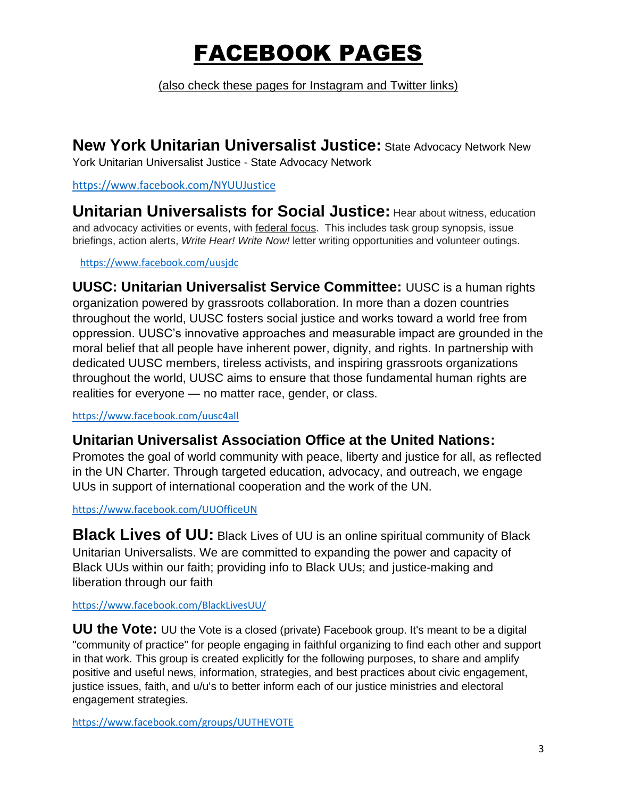# FACEBOOK PAGES

(also check these pages for Instagram and Twitter links)

**New York Unitarian Universalist Justice:** State Advocacy Network New York Unitarian Universalist Justice - State Advocacy Network

#### <https://www.facebook.com/NYUUJustice>

**Unitarian Universalists for Social Justice:** Hear about witness, education and advocacy activities or events, with federal focus. This includes task group synopsis, issue briefings, action alerts, *Write Hear! Write Now!* letter writing opportunities and volunteer outings.

#### <https://www.facebook.com/uusjdc>

**UUSC: Unitarian Universalist Service Committee:** UUSC is a human rights organization powered by grassroots collaboration. In more than a dozen countries throughout the world, UUSC fosters social justice and works toward a world free from oppression. UUSC's innovative approaches and measurable impact are grounded in the moral belief that all people have inherent power, dignity, and rights. In partnership with dedicated UUSC members, tireless activists, and inspiring grassroots organizations throughout the world, UUSC aims to ensure that those fundamental human rights are realities for everyone — no matter race, gender, or class.

<https://www.facebook.com/uusc4all>

### **Unitarian Universalist Association Office at the United Nations:**

Promotes the goal of world community with peace, liberty and justice for all, as reflected in the UN Charter. Through targeted education, advocacy, and outreach, we engage UUs in support of international cooperation and the work of the UN.

<https://www.facebook.com/UUOfficeUN>

**Black Lives of UU:** Black Lives of UU is an online spiritual community of Black Unitarian Universalists. We are committed to expanding the power and capacity of Black UUs within our faith; providing info to Black UUs; and justice-making and liberation through our faith

#### <https://www.facebook.com/BlackLivesUU/>

**UU the Vote:** UU the Vote is a closed (private) Facebook group. It's meant to be a digital "community of practice" for people engaging in faithful organizing to find each other and support in that work. This group is created explicitly for the following purposes, to share and amplify positive and useful news, information, strategies, and best practices about civic engagement, justice issues, faith, and u/u's to better inform each of our justice ministries and electoral engagement strategies.

<https://www.facebook.com/groups/UUTHEVOTE>